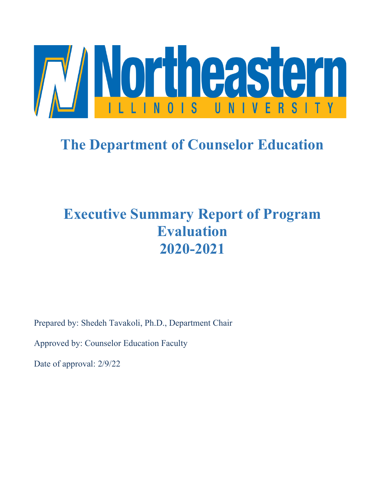

# **The Department of Counselor Education**

# **Executive Summary Report of Program Evaluation 2020-2021**

Prepared by: Shedeh Tavakoli, Ph.D., Department Chair

Approved by: Counselor Education Faculty

Date of approval: 2/9/22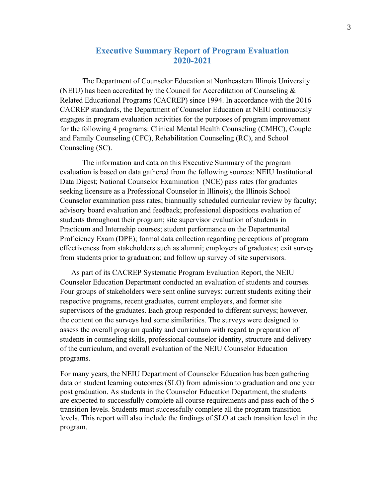# **Executive Summary Report of Program Evaluation 2020-2021**

The Department of Counselor Education at Northeastern Illinois University (NEIU) has been accredited by the Council for Accreditation of Counseling & Related Educational Programs (CACREP) since 1994. In accordance with the 2016 CACREP standards, the Department of Counselor Education at NEIU continuously engages in program evaluation activities for the purposes of program improvement for the following 4 programs: Clinical Mental Health Counseling (CMHC), Couple and Family Counseling (CFC), Rehabilitation Counseling (RC), and School Counseling (SC).

The information and data on this Executive Summary of the program evaluation is based on data gathered from the following sources: NEIU Institutional Data Digest; National Counselor Examination (NCE) pass rates (for graduates seeking licensure as a Professional Counselor in Illinois); the Illinois School Counselor examination pass rates; biannually scheduled curricular review by faculty; advisory board evaluation and feedback; professional dispositions evaluation of students throughout their program; site supervisor evaluation of students in Practicum and Internship courses; student performance on the Departmental Proficiency Exam (DPE); formal data collection regarding perceptions of program effectiveness from stakeholders such as alumni; employers of graduates; exit survey from students prior to graduation; and follow up survey of site supervisors.

As part of its CACREP Systematic Program Evaluation Report, the NEIU Counselor Education Department conducted an evaluation of students and courses. Four groups of stakeholders were sent online surveys: current students exiting their respective programs, recent graduates, current employers, and former site supervisors of the graduates. Each group responded to different surveys; however, the content on the surveys had some similarities. The surveys were designed to assess the overall program quality and curriculum with regard to preparation of students in counseling skills, professional counselor identity, structure and delivery of the curriculum, and overall evaluation of the NEIU Counselor Education programs.

For many years, the NEIU Department of Counselor Education has been gathering data on student learning outcomes (SLO) from admission to graduation and one year post graduation. As students in the Counselor Education Department, the students are expected to successfully complete all course requirements and pass each of the 5 transition levels. Students must successfully complete all the program transition levels. This report will also include the findings of SLO at each transition level in the program.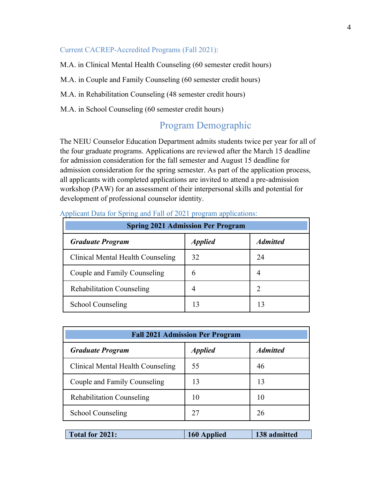#### Current CACREP-Accredited Programs (Fall 2021):

M.A. in Clinical Mental Health Counseling (60 semester credit hours)

M.A. in Couple and Family Counseling (60 semester credit hours)

M.A. in Rehabilitation Counseling (48 semester credit hours)

M.A. in School Counseling (60 semester credit hours)

# Program Demographic

The NEIU Counselor Education Department admits students twice per year for all of the four graduate programs. Applications are reviewed after the March 15 deadline for admission consideration for the fall semester and August 15 deadline for admission consideration for the spring semester. As part of the application process, all applicants with completed applications are invited to attend a pre-admission workshop (PAW) for an assessment of their interpersonal skills and potential for development of professional counselor identity.

| <b>Spring 2021 Admission Per Program</b> |                       |                 |  |  |  |
|------------------------------------------|-----------------------|-----------------|--|--|--|
| <b>Graduate Program</b>                  | <i><b>Applied</b></i> | <b>Admitted</b> |  |  |  |
| Clinical Mental Health Counseling        | 32                    | 24              |  |  |  |
| Couple and Family Counseling             | h                     |                 |  |  |  |
| <b>Rehabilitation Counseling</b>         |                       |                 |  |  |  |
| <b>School Counseling</b>                 | 13                    | 13              |  |  |  |

#### Applicant Data for Spring and Fall of 2021 program applications:

| <b>Fall 2021 Admission Per Program</b>         |                       |                 |  |  |  |
|------------------------------------------------|-----------------------|-----------------|--|--|--|
| <b>Graduate Program</b>                        | <i><b>Applied</b></i> | <b>Admitted</b> |  |  |  |
| Clinical Mental Health Counseling              | 55                    | 46              |  |  |  |
| Couple and Family Counseling                   | 13                    | 13              |  |  |  |
| <b>Rehabilitation Counseling</b>               | 10                    | 10              |  |  |  |
| School Counseling                              | 27                    | 26              |  |  |  |
| Total for 2021:<br>138 admitted<br>160 Applied |                       |                 |  |  |  |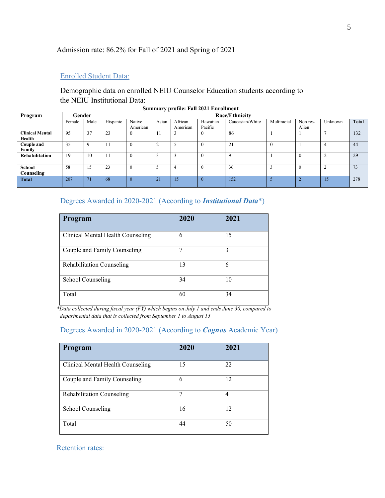## Admission rate: 86.2% for Fall of 2021 and Spring of 2021

#### Enrolled Student Data:

# Demographic data on enrolled NEIU Counselor Education students according to the NEIU Institutional Data:

| <b>Summary profile: Fall 2021 Enrollment</b> |        |      |          |                    |       |                     |                     |                       |             |                   |                |              |
|----------------------------------------------|--------|------|----------|--------------------|-------|---------------------|---------------------|-----------------------|-------------|-------------------|----------------|--------------|
| Program                                      | Gender |      |          |                    |       |                     |                     | <b>Race/Ethnicity</b> |             |                   |                |              |
|                                              | Female | Male | Hispanic | Native<br>American | Asian | African<br>American | Hawaiian<br>Pacific | Caucasian/White       | Multiracial | Non res-<br>Alien | Unknown        | <b>Total</b> |
| <b>Clinical Mental</b><br>Health             | 95     | 37   | 23       | $\boldsymbol{0}$   | 11    |                     |                     | 86                    |             |                   |                | 132          |
| Couple and<br>Family                         | 35     | 9    | 11       | $\overline{0}$     |       |                     |                     | 21                    | $\theta$    |                   | 4              | 44           |
| <b>Rehabilitation</b>                        | 19     | 10   | 11       | $\theta$           |       | 3                   |                     | 9                     |             | $\theta$          | $\overline{2}$ | 29           |
| School<br>Counseling                         | 58     | 15   | 23       | $\theta$           |       | 4                   | $\Omega$            | 36                    | 3           | $\theta$          | ◠              | 73           |
| <b>Total</b>                                 | 207    | 71   | 68       | $\overline{0}$     | 21    | 15 <sub>l</sub>     | $\mathbf{0}$        | 152                   | 5           | Z                 | 15             | 278          |

## Degrees Awarded in 2020-2021 (According to *Institutional Data*\*)

| Program                           | 2020 | 2021 |
|-----------------------------------|------|------|
| Clinical Mental Health Counseling | 6    | 15   |
| Couple and Family Counseling      | 7    | 3    |
| <b>Rehabilitation Counseling</b>  | 13   | 6    |
| School Counseling                 | 34   | 10   |
| Total                             | 60   | 34   |

*\*Data collected during fiscal year (FY) which begins on July 1 and ends June 30, compared to departmental data that is collected from September 1 to August 15*

#### Degrees Awarded in 2020-2021 (According to *Cognos* Academic Year)

| Program                           | 2020 | 2021 |
|-----------------------------------|------|------|
| Clinical Mental Health Counseling | 15   | 22   |
| Couple and Family Counseling      | 6    | 12   |
| <b>Rehabilitation Counseling</b>  | 7    | 4    |
| School Counseling                 | 16   | 12   |
| Total                             | 44   | 50   |

#### Retention rates: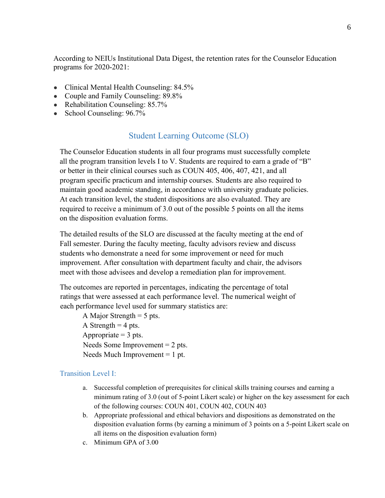According to NEIUs Institutional Data Digest, the retention rates for the Counselor Education programs for 2020-2021:

- Clinical Mental Health Counseling: 84.5%
- Couple and Family Counseling: 89.8%
- Rehabilitation Counseling: 85.7%
- School Counseling: 96.7%

## Student Learning Outcome (SLO)

The Counselor Education students in all four programs must successfully complete all the program transition levels I to V. Students are required to earn a grade of "B" or better in their clinical courses such as COUN 405, 406, 407, 421, and all program specific practicum and internship courses. Students are also required to maintain good academic standing, in accordance with university graduate policies. At each transition level, the student dispositions are also evaluated. They are required to receive a minimum of 3.0 out of the possible 5 points on all the items on the disposition evaluation forms.

The detailed results of the SLO are discussed at the faculty meeting at the end of Fall semester. During the faculty meeting, faculty advisors review and discuss students who demonstrate a need for some improvement or need for much improvement. After consultation with department faculty and chair, the advisors meet with those advisees and develop a remediation plan for improvement.

The outcomes are reported in percentages, indicating the percentage of total ratings that were assessed at each performance level. The numerical weight of each performance level used for summary statistics are:

A Major Strength  $= 5$  pts. A Strength  $=$  4 pts. Appropriate  $=$  3 pts. Needs Some Improvement = 2 pts. Needs Much Improvement  $= 1$  pt.

#### Transition Level I:

- a. Successful completion of prerequisites for clinical skills training courses and earning a minimum rating of 3.0 (out of 5-point Likert scale) or higher on the key assessment for each of the following courses: COUN 401, COUN 402, COUN 403
- b. Appropriate professional and ethical behaviors and dispositions as demonstrated on the disposition evaluation forms (by earning a minimum of 3 points on a 5-point Likert scale on all items on the disposition evaluation form)
- c. Minimum GPA of 3.00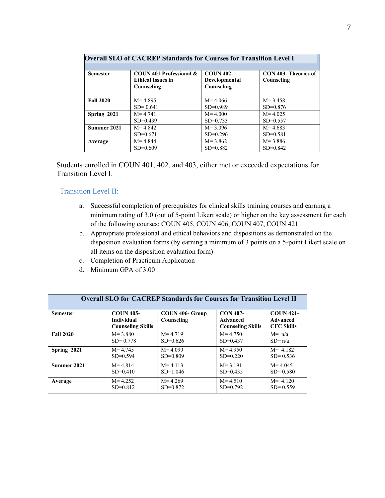| <b>Overall SLO of CACREP Standards for Courses for Transition Level I</b> |                                                                   |                                                 |                                    |  |  |  |
|---------------------------------------------------------------------------|-------------------------------------------------------------------|-------------------------------------------------|------------------------------------|--|--|--|
| <b>Semester</b>                                                           | COUN 401 Professional &<br><b>Ethical Issues in</b><br>Counseling | <b>COUN 402-</b><br>Developmental<br>Counseling | CON 403- Theories of<br>Counseling |  |  |  |
| <b>Fall 2020</b>                                                          | $M = 4.895$                                                       | $M = 4.066$                                     | $M = 3.458$                        |  |  |  |
|                                                                           | $SD = 0.641$                                                      | $SD=0.989$                                      | $SD=0.876$                         |  |  |  |
| Spring 2021                                                               | $M = 4.741$                                                       | $M = 4.000$                                     | $M = 4.025$                        |  |  |  |
|                                                                           | $SD=0.439$                                                        | $SD=0.733$                                      | $SD=0.557$                         |  |  |  |
| Summer 2021                                                               | $M = 4.842$                                                       | $M = 3.096$                                     | $M = 4.683$                        |  |  |  |
|                                                                           | $SD=0.671$                                                        | $SD=0.296$                                      | $SD=0.581$                         |  |  |  |
| Average                                                                   | $M = 4.844$                                                       | $M = 3.862$                                     | $M = 3.886$                        |  |  |  |
|                                                                           | $SD=0.609$                                                        | $SD=0.882$                                      | $SD=0.842$                         |  |  |  |

Students enrolled in COUN 401, 402, and 403, either met or exceeded expectations for Transition Level I.

#### Transition Level II:

- a. Successful completion of prerequisites for clinical skills training courses and earning a minimum rating of 3.0 (out of 5-point Likert scale) or higher on the key assessment for each of the following courses: COUN 405, COUN 406, COUN 407, COUN 421
- b. Appropriate professional and ethical behaviors and dispositions as demonstrated on the disposition evaluation forms (by earning a minimum of 3 points on a 5-point Likert scale on all items on the disposition evaluation form)
- c. Completion of Practicum Application
- d. Minimum GPA of 3.00

| <b>Overall SLO for CACREP Standards for Courses for Transition Level II</b> |                                                                   |                               |                                                         |                                                   |  |  |
|-----------------------------------------------------------------------------|-------------------------------------------------------------------|-------------------------------|---------------------------------------------------------|---------------------------------------------------|--|--|
| <b>Semester</b>                                                             | <b>COUN 405-</b><br><b>Individual</b><br><b>Counseling Skills</b> | COUN 406- Group<br>Counseling | <b>CON 407-</b><br>Advanced<br><b>Counseling Skills</b> | <b>COUN 421-</b><br>Advanced<br><b>CFC Skills</b> |  |  |
| <b>Fall 2020</b>                                                            | $M = 3.880$                                                       | $M = 4.719$                   | $M = 4.750$                                             | $M = n/a$                                         |  |  |
|                                                                             | $SD = 0.778$                                                      | $SD=0.626$                    | $SD=0.437$                                              | $SD = n/a$                                        |  |  |
| Spring 2021                                                                 | $M = 4.745$                                                       | $M = 4.099$                   | $M = 4.950$                                             | $M = 4.182$                                       |  |  |
|                                                                             | $SD=0.594$                                                        | $SD=0.809$                    | $SD=0.220$                                              | $SD = 0.536$                                      |  |  |
| Summer 2021                                                                 | $M = 4.814$                                                       | $M = 4.113$                   | $M = 3.191$                                             | $M = 4.045$                                       |  |  |
|                                                                             | $SD=0.410$                                                        | $SD=1.046$                    | $SD=0.435$                                              | $SD = 0.580$                                      |  |  |
| Average                                                                     | $M = 4.252$                                                       | $M = 4.269$                   | $M = 4.510$                                             | $M = 4.120$                                       |  |  |
|                                                                             | $SD = 0.812$                                                      | $SD=0.872$                    | $SD=0.792$                                              | $SD = 0.559$                                      |  |  |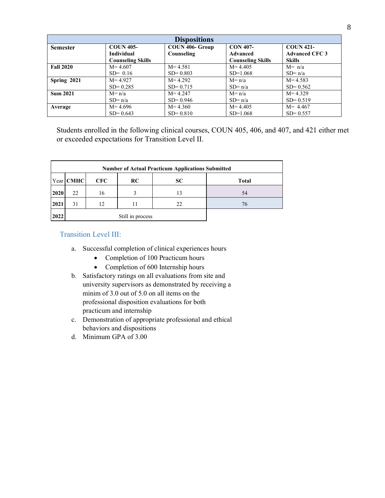| <b>Dispositions</b> |                          |                 |                          |                       |  |  |
|---------------------|--------------------------|-----------------|--------------------------|-----------------------|--|--|
| <b>Semester</b>     | <b>COUN 405-</b>         | COUN 406- Group | <b>CON 407-</b>          | <b>COUN 421-</b>      |  |  |
|                     | <b>Individual</b>        | Counseling      | <b>Advanced</b>          | <b>Advanced CFC 3</b> |  |  |
|                     | <b>Counseling Skills</b> |                 | <b>Counseling Skills</b> | <b>Skills</b>         |  |  |
| <b>Fall 2020</b>    | $M = 4.607$              | $M = 4.581$     | $M = 4.405$              | $M = n/a$             |  |  |
|                     | $SD = 0.16$              | $SD = 0.803$    | $SD=1.068$               | $SD=n/a$              |  |  |
| Spring 2021         | $M = 4.927$              | $M = 4.292$     | $M = n/a$                | $M = 4.583$           |  |  |
|                     | $SD = 0.285$             | $SD = 0.715$    | $SD=n/a$                 | $SD = 0.562$          |  |  |
| <b>Sum 2021</b>     | $M = n/a$                | $M = 4.247$     | $M = n/a$                | $M = 4.329$           |  |  |
|                     | $SD=n/a$                 | $SD = 0.946$    | $SD = n/a$               | $SD = 0.519$          |  |  |
| Average             | $M = 4.696$              | $M = 4.360$     | $M = 4.405$              | $M = 4.467$           |  |  |
|                     | $SD = 0.643$             | $SD = 0.810$    | $SD=1.068$               | $SD = 0.557$          |  |  |

Students enrolled in the following clinical courses, COUN 405, 406, and 407, and 421 either met or exceeded expectations for Transition Level II.

|      | <b>Number of Actual Practicum Applications Submitted</b> |            |                  |           |              |  |  |  |
|------|----------------------------------------------------------|------------|------------------|-----------|--------------|--|--|--|
|      | Year   CMHC                                              | <b>CFC</b> | <b>RC</b>        | <b>SC</b> | <b>Total</b> |  |  |  |
| 2020 | 22                                                       | 16         |                  | 13        | 54           |  |  |  |
| 2021 | 31                                                       | 12         |                  | 22        | 76           |  |  |  |
| 2022 |                                                          |            | Still in process |           |              |  |  |  |

#### Transition Level III:

- a. Successful completion of clinical experiences hours
	- Completion of 100 Practicum hours
	- Completion of 600 Internship hours
- b. Satisfactory ratings on all evaluations from site and university supervisors as demonstrated by receiving a minim of 3.0 out of 5.0 on all items on the professional disposition evaluations for both practicum and internship
- c. Demonstration of appropriate professional and ethical behaviors and dispositions
- d. Minimum GPA of 3.00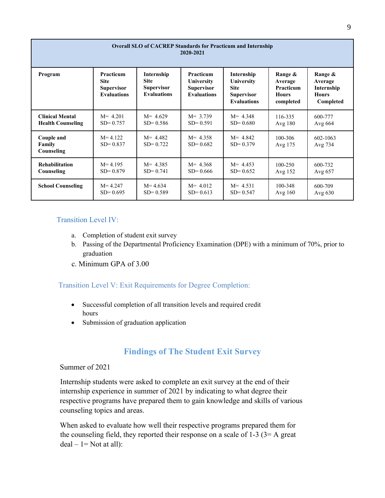| <b>Overall SLO of CACREP Standards for Practicum and Internship</b><br>2020-2021 |                                                                     |                                                                      |                                                                    |                                                                                    |                                                                     |                                                               |
|----------------------------------------------------------------------------------|---------------------------------------------------------------------|----------------------------------------------------------------------|--------------------------------------------------------------------|------------------------------------------------------------------------------------|---------------------------------------------------------------------|---------------------------------------------------------------|
| Program                                                                          | Practicum<br><b>Site</b><br><b>Supervisor</b><br><b>Evaluations</b> | Internship<br><b>Site</b><br><b>Supervisor</b><br><b>Evaluations</b> | Practicum<br>University<br><b>Supervisor</b><br><b>Evaluations</b> | Internship<br>University<br><b>Site</b><br><b>Supervisor</b><br><b>Evaluations</b> | Range &<br>Average<br><b>Practicum</b><br><b>Hours</b><br>completed | Range &<br>Average<br>Internship<br><b>Hours</b><br>Completed |
| <b>Clinical Mental</b>                                                           | $M = 4.201$                                                         | $M = 4.629$                                                          | $M = 3.739$                                                        | $M = 4.348$                                                                        | 116-335                                                             | 600-777                                                       |
| <b>Health Counseling</b>                                                         | $SD = 0.757$                                                        | $SD = 0.586$                                                         | $SD = 0.591$                                                       | $SD = 0.680$                                                                       | Avg $180$                                                           | Avg $664$                                                     |
| Couple and<br>Family<br>Counseling                                               | $M = 4.122$<br>$SD = 0.837$                                         | $M = 4.482$<br>$SD = 0.722$                                          | $M = 4.358$<br>$SD = 0.682$                                        | $M = 4.842$<br>$SD = 0.379$                                                        | 100-306<br>Avg 175                                                  | 602-1063<br>Avg 734                                           |
| <b>Rehabilitation</b>                                                            | $M = 4.195$                                                         | $M = 4.385$                                                          | $M = 4.368$                                                        | $M = 4.453$                                                                        | $100 - 250$                                                         | 600-732                                                       |
| Counseling                                                                       | $SD = 0.879$                                                        | $SD = 0.741$                                                         | $SD = 0.666$                                                       | $SD = 0.652$                                                                       | Avg 152                                                             | Avg 657                                                       |
| <b>School Counseling</b>                                                         | $M = 4.247$                                                         | $M = 4.634$                                                          | $M = 4.012$                                                        | $M = 4.531$                                                                        | 100-348                                                             | 600-709                                                       |
|                                                                                  | $SD = 0.695$                                                        | $SD = 0.589$                                                         | $SD = 0.613$                                                       | $SD = 0.547$                                                                       | Avg $160$                                                           | Avg $630$                                                     |

## Transition Level IV:

- a. Completion of student exit survey
- b. Passing of the Departmental Proficiency Examination (DPE) with a minimum of 70%, prior to graduation
- c. Minimum GPA of 3.00

## Transition Level V: Exit Requirements for Degree Completion:

- Successful completion of all transition levels and required credit hours
- Submission of graduation application

# **Findings of The Student Exit Survey**

#### Summer of 2021

Internship students were asked to complete an exit survey at the end of their internship experience in summer of 2021 by indicating to what degree their respective programs have prepared them to gain knowledge and skills of various counseling topics and areas.

When asked to evaluate how well their respective programs prepared them for the counseling field, they reported their response on a scale of  $1-3$  ( $3=$  A great  $deal - 1 = Not at all$ :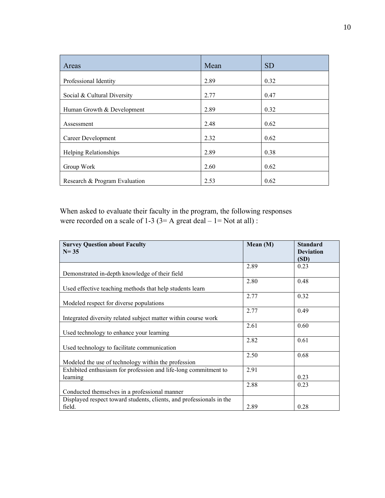| Areas                         | Mean | <b>SD</b> |
|-------------------------------|------|-----------|
| Professional Identity         | 2.89 | 0.32      |
| Social & Cultural Diversity   | 2.77 | 0.47      |
| Human Growth & Development    | 2.89 | 0.32      |
| Assessment                    | 2.48 | 0.62      |
| Career Development            | 2.32 | 0.62      |
| <b>Helping Relationships</b>  | 2.89 | 0.38      |
| Group Work                    | 2.60 | 0.62      |
| Research & Program Evaluation | 2.53 | 0.62      |

When asked to evaluate their faculty in the program, the following responses were recorded on a scale of  $1-3$  ( $3=$  A great deal –  $1=$  Not at all) :

| <b>Survey Question about Faculty</b><br>$N = 35$                     | Mean $(M)$ | <b>Standard</b><br><b>Deviation</b> |
|----------------------------------------------------------------------|------------|-------------------------------------|
|                                                                      |            | (SD)                                |
|                                                                      | 2.89       | 0.23                                |
| Demonstrated in-depth knowledge of their field                       |            |                                     |
|                                                                      | 2.80       | 0.48                                |
| Used effective teaching methods that help students learn             |            |                                     |
|                                                                      | 2.77       | 0.32                                |
| Modeled respect for diverse populations                              |            |                                     |
|                                                                      | 2.77       | 0.49                                |
| Integrated diversity related subject matter within course work       |            |                                     |
|                                                                      | 2.61       | 0.60                                |
| Used technology to enhance your learning                             |            |                                     |
|                                                                      | 2.82       | 0.61                                |
| Used technology to facilitate communication                          |            |                                     |
|                                                                      | 2.50       | 0.68                                |
| Modeled the use of technology within the profession                  |            |                                     |
| Exhibited enthusiasm for profession and life-long commitment to      | 2.91       |                                     |
| learning                                                             |            | 0.23                                |
|                                                                      | 2.88       | 0.23                                |
| Conducted themselves in a professional manner                        |            |                                     |
| Displayed respect toward students, clients, and professionals in the |            |                                     |
| field.                                                               | 2.89       | 0.28                                |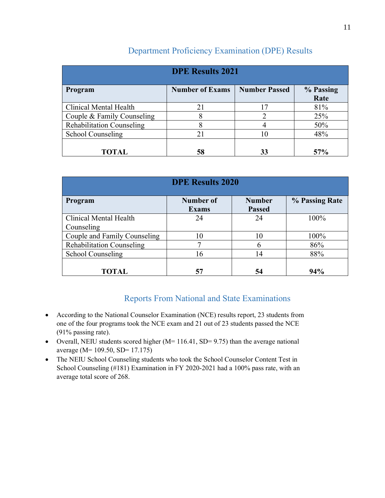| <b>DPE Results 2021</b>          |                        |                      |                   |  |  |  |
|----------------------------------|------------------------|----------------------|-------------------|--|--|--|
| Program                          | <b>Number of Exams</b> | <b>Number Passed</b> | % Passing<br>Rate |  |  |  |
| Clinical Mental Health           | 21                     | 17                   | 81%               |  |  |  |
| Couple & Family Counseling       | 8                      |                      | 25%               |  |  |  |
| <b>Rehabilitation Counseling</b> | 8                      |                      | 50%               |  |  |  |
| <b>School Counseling</b>         | 21                     | 10                   | 48%               |  |  |  |
| TOTAL                            | 58                     | 33                   | 57%               |  |  |  |

# Department Proficiency Examination (DPE) Results

| <b>DPE Results 2020</b>          |                           |                                |                |  |  |
|----------------------------------|---------------------------|--------------------------------|----------------|--|--|
| Program                          | Number of<br><b>Exams</b> | <b>Number</b><br><b>Passed</b> | % Passing Rate |  |  |
| Clinical Mental Health           | 24                        | 24                             | 100%           |  |  |
| Counseling                       |                           |                                |                |  |  |
| Couple and Family Counseling     | 10                        | 10                             | 100%           |  |  |
| <b>Rehabilitation Counseling</b> | ⇁                         |                                | 86%            |  |  |
| <b>School Counseling</b>         | 16                        | 14                             | 88%            |  |  |
| <b>TOTAL</b>                     | 57                        | 54                             | 94%            |  |  |

# Reports From National and State Examinations

- According to the National Counselor Examination (NCE) results report, 23 students from one of the four programs took the NCE exam and 21 out of 23 students passed the NCE (91% passing rate).
- Overall, NEIU students scored higher  $(M= 116.41, SD= 9.75)$  than the average national average (M= 109.50, SD= 17.175)
- The NEIU School Counseling students who took the School Counselor Content Test in School Counseling (#181) Examination in FY 2020-2021 had a 100% pass rate, with an average total score of 268.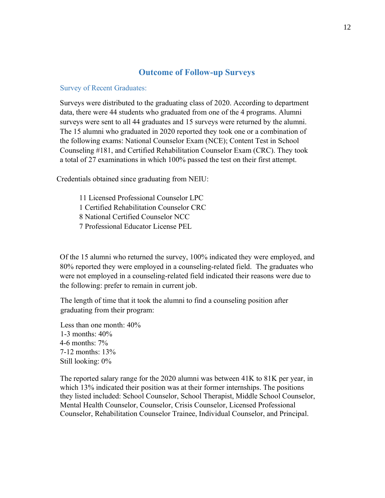#### **Outcome of Follow-up Surveys**

#### Survey of Recent Graduates:

Surveys were distributed to the graduating class of 2020. According to department data, there were 44 students who graduated from one of the 4 programs. Alumni surveys were sent to all 44 graduates and 15 surveys were returned by the alumni. The 15 alumni who graduated in 2020 reported they took one or a combination of the following exams: National Counselor Exam (NCE); Content Test in School Counseling #181, and Certified Rehabilitation Counselor Exam (CRC). They took a total of 27 examinations in which 100% passed the test on their first attempt.

Credentials obtained since graduating from NEIU:

- 11 Licensed Professional Counselor LPC
- 1 Certified Rehabilitation Counselor CRC
- 8 National Certified Counselor NCC
- 7 Professional Educator License PEL

Of the 15 alumni who returned the survey, 100% indicated they were employed, and 80% reported they were employed in a counseling-related field. The graduates who were not employed in a counseling-related field indicated their reasons were due to the following: prefer to remain in current job.

The length of time that it took the alumni to find a counseling position after graduating from their program:

Less than one month: 40% 1-3 months: 40% 4-6 months: 7% 7-12 months: 13% Still looking: 0%

The reported salary range for the 2020 alumni was between 41K to 81K per year, in which 13% indicated their position was at their former internships. The positions they listed included: School Counselor, School Therapist, Middle School Counselor, Mental Health Counselor, Counselor, Crisis Counselor, Licensed Professional Counselor, Rehabilitation Counselor Trainee, Individual Counselor, and Principal.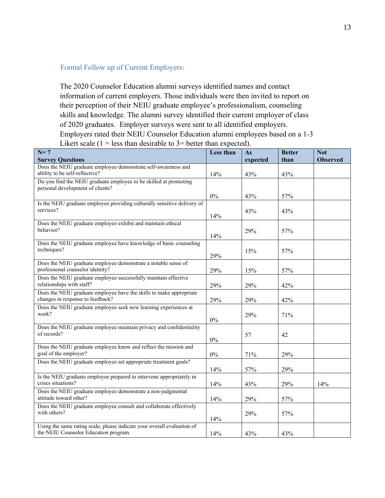# Formal Follow up of Current Employers:

The 2020 Counselor Education alumni surveys identified names and contact information of current employers. Those individuals were then invited to report on their perception of their NEIU graduate employee's professionalism, counseling skills and knowledge. The alumni survey identified their current employer of class of 2020 graduates. Employer surveys were sent to all identified employers. Employers rated their NEIU Counselor Education alumni employees based on a 1-3 Likert scale  $(1 = \text{less than desirable to } 3 = \text{better than expected}).$ 

| $N=7$<br><b>Survey Questions</b>                                                                                 | Less than | As<br>expected | <b>Better</b><br>than | <b>Not</b><br><b>Observed</b> |
|------------------------------------------------------------------------------------------------------------------|-----------|----------------|-----------------------|-------------------------------|
| Does the NEIU graduate employee demonstrate self-awareness and<br>ability to be self-reflective?                 | 14%       | 43%            | 43%                   |                               |
| Do you find the NEIU graduate employee to be skilled at promoting<br>personal development of clients?            |           |                |                       |                               |
|                                                                                                                  | $0\%$     | 43%            | 57%                   |                               |
| Is the NEIU graduate employee providing culturally sensitive delivery of<br>services?                            | 14%       | 43%            | 43%                   |                               |
| Does the NEIU graduate employee exhibit and maintain ethical<br>behavior?                                        | 14%       | 29%            | 57%                   |                               |
| Does the NEIU graduate employee have knowledge of basic counseling<br>techniques?                                | 29%       | 15%            | 57%                   |                               |
| Does the NEIU graduate employee demonstrate a notable sense of<br>professional counselor identity?               | 29%       | 15%            | 57%                   |                               |
| Does the NEIU graduate employee successfully maintain effective<br>relationships with staff?                     | 29%       | 29%            | 42%                   |                               |
| Does the NEIU graduate employee have the skills to make appropriate<br>changes in response to feedback?          | 29%       | 29%            | 42%                   |                               |
| Does the NEIU graduate employee seek new learning experiences at<br>work?                                        | $0\%$     | 29%            | 71%                   |                               |
| Does the NEIU graduate employee maintain privacy and confidentiality<br>of records?                              | $0\%$     | 57             | 42                    |                               |
| Does the NEIU graduate employee know and reflect the mission and<br>goal of the employer?                        | $0\%$     | 71%            | 29%                   |                               |
| Does the NEIU graduate employee set appropriate treatment goals?                                                 | 14%       | 57%            | 29%                   |                               |
| Is the NEIU graduate employee prepared to intervene appropriately in<br>crises situations?                       | 14%       | 43%            | 29%                   | 14%                           |
| Does the NEIU graduate employee demonstrate a non-judgmental<br>attitude toward other?                           | 14%       | 29%            | 57%                   |                               |
| Does the NEIU graduate employee consult and collaborate effectively<br>with others?                              | 14%       | 29%            | 57%                   |                               |
| Using the same rating scale, please indicate your overall evaluation of<br>the NEIU Counselor Education program. | 14%       | 43%            | 43%                   |                               |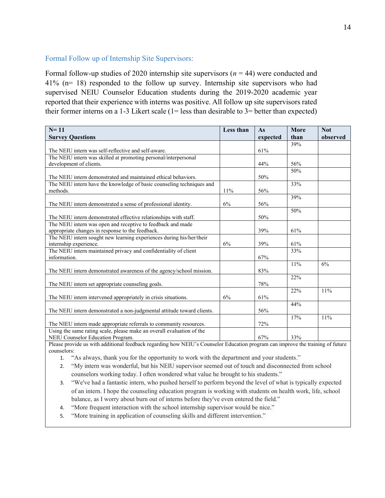#### Formal Follow up of Internship Site Supervisors:

Formal follow-up studies of 2020 internship site supervisors (*n* = 44) were conducted and 41% (n= 18) responded to the follow up survey. Internship site supervisors who had supervised NEIU Counselor Education students during the 2019-2020 academic year reported that their experience with interns was positive. All follow up site supervisors rated their former interns on a 1-3 Likert scale  $(1 = less than desirable to 3 = better than expected)$ 

| $N = 11$                                                               | Less than | As       | More | <b>Not</b> |
|------------------------------------------------------------------------|-----------|----------|------|------------|
| <b>Survey Questions</b>                                                |           | expected | than | observed   |
|                                                                        |           |          | 39%  |            |
| The NEIU intern was self-reflective and self-aware.                    |           | 61%      |      |            |
| The NEIU intern was skilled at promoting personal/interpersonal        |           |          |      |            |
| development of clients.                                                |           | 44%      | 56%  |            |
|                                                                        |           |          | 50%  |            |
| The NEIU intern demonstrated and maintained ethical behaviors.         |           | 50%      |      |            |
| The NEIU intern have the knowledge of basic counseling techniques and  |           |          | 33%  |            |
| methods.                                                               | 11%       | 56%      |      |            |
|                                                                        |           |          | 39%  |            |
| The NEIU intern demonstrated a sense of professional identity.         | 6%        | 56%      |      |            |
|                                                                        |           |          | 50%  |            |
| The NEIU intern demonstrated effective relationships with staff.       |           | 50%      |      |            |
| The NEIU intern was open and receptive to feedback and made            |           |          |      |            |
| appropriate changes in response to the feedback.                       |           | 39%      | 61%  |            |
| The NEIU intern sought new learning experiences during his/her/their   |           |          |      |            |
| internship experience.                                                 | 6%        | 39%      | 61%  |            |
| The NEIU intern maintained privacy and confidentiality of client       |           |          | 33%  |            |
| information.                                                           |           | 67%      |      |            |
|                                                                        |           |          | 11%  | 6%         |
| The NEIU intern demonstrated awareness of the agency/school mission.   |           | 83%      |      |            |
|                                                                        |           |          | 22%  |            |
| The NEIU intern set appropriate counseling goals.                      |           | 78%      |      |            |
|                                                                        |           |          | 22%  | 11%        |
| The NEIU intern intervened appropriately in crisis situations.         | 6%        | 61%      |      |            |
|                                                                        |           |          | 44%  |            |
| The NEIU intern demonstrated a non-judgmental attitude toward clients. |           | 56%      |      |            |
|                                                                        |           |          | 17%  | 11%        |
| The NIEU intern made appropriate referrals to community resources.     |           | 72%      |      |            |
| Using the same rating scale, please make an overall evaluation of the  |           |          |      |            |
| NEIU Counselor Education Program.                                      |           | 67%      | 33%  |            |

Please provide us with additional feedback regarding how NEIU's Counselor Education program can improve the training of future counselors:

1. "As always, thank you for the opportunity to work with the department and your students."

2. "My intern was wonderful, but his NEIU supervisor seemed out of touch and disconnected from school counselors working today. I often wondered what value he brought to his students."

3. "We've had a fantastic intern, who pushed herself to perform beyond the level of what is typically expected of an intern. I hope the counseling education program is working with students on health work, life, school balance, as I worry about burn out of interns before they've even entered the field."

4. "More frequent interaction with the school internship supervisor would be nice."

5. "More training in application of counseling skills and different intervention."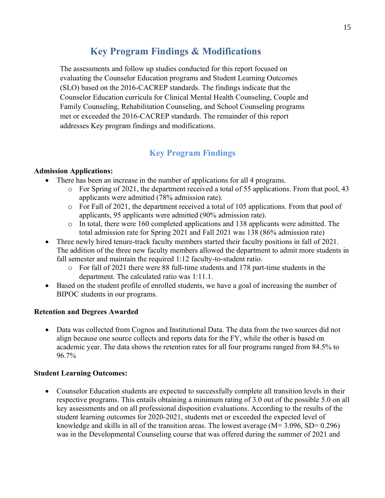# **Key Program Findings & Modifications**

The assessments and follow up studies conducted for this report focused on evaluating the Counselor Education programs and Student Learning Outcomes (SLO) based on the 2016-CACREP standards. The findings indicate that the Counselor Education curricula for Clinical Mental Health Counseling, Couple and Family Counseling, Rehabilitation Counseling, and School Counseling programs met or exceeded the 2016-CACREP standards. The remainder of this report addresses Key program findings and modifications.

# **Key Program Findings**

#### **Admission Applications:**

- There has been an increase in the number of applications for all 4 programs.
	- $\circ$  For Spring of 2021, the department received a total of 55 applications. From that pool, 43 applicants were admitted (78% admission rate).
	- o For Fall of 2021, the department received a total of 105 applications. From that pool of applicants, 95 applicants were admitted (90% admission rate).
	- $\circ$  In total, there were 160 completed applications and 138 applicants were admitted. The total admission rate for Spring 2021 and Fall 2021 was 138 (86% admission rate)
- Three newly hired tenure-track faculty members started their faculty positions in fall of 2021. The addition of the three new faculty members allowed the department to admit more students in fall semester and maintain the required 1:12 faculty-to-student ratio.
	- o For fall of 2021 there were 88 full-time students and 178 part-time students in the department. The calculated ratio was 1:11.1.
- Based on the student profile of enrolled students, we have a goal of increasing the number of BIPOC students in our programs.

#### **Retention and Degrees Awarded**

• Data was collected from Cognos and Institutional Data. The data from the two sources did not align because one source collects and reports data for the FY, while the other is based on academic year. The data shows the retention rates for all four programs ranged from 84.5% to 96.7%

#### **Student Learning Outcomes:**

• Counselor Education students are expected to successfully complete all transition levels in their respective programs. This entails obtaining a minimum rating of 3.0 out of the possible 5.0 on all key assessments and on all professional disposition evaluations. According to the results of the student learning outcomes for 2020-2021, students met or exceeded the expected level of knowledge and skills in all of the transition areas. The lowest average  $(M= 3.096, SD= 0.296)$ was in the Developmental Counseling course that was offered during the summer of 2021 and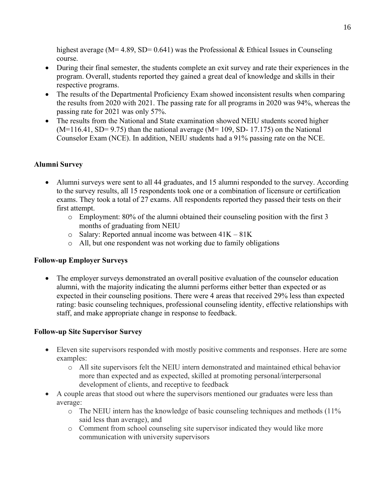highest average ( $M= 4.89$ , SD= 0.641) was the Professional & Ethical Issues in Counseling course.

- During their final semester, the students complete an exit survey and rate their experiences in the program. Overall, students reported they gained a great deal of knowledge and skills in their respective programs.
- The results of the Departmental Proficiency Exam showed inconsistent results when comparing the results from 2020 with 2021. The passing rate for all programs in 2020 was 94%, whereas the passing rate for 2021 was only 57%.
- The results from the National and State examination showed NEIU students scored higher  $(M=116.41, SD= 9.75)$  than the national average  $(M=109, SD-17.175)$  on the National Counselor Exam (NCE). In addition, NEIU students had a 91% passing rate on the NCE.

## **Alumni Survey**

- Alumni surveys were sent to all 44 graduates, and 15 alumni responded to the survey. According to the survey results, all 15 respondents took one or a combination of licensure or certification exams. They took a total of 27 exams. All respondents reported they passed their tests on their first attempt.
	- o Employment: 80% of the alumni obtained their counseling position with the first 3 months of graduating from NEIU
	- $\circ$  Salary: Reported annual income was between  $41K 81K$
	- o All, but one respondent was not working due to family obligations

## **Follow-up Employer Surveys**

• The employer surveys demonstrated an overall positive evaluation of the counselor education alumni, with the majority indicating the alumni performs either better than expected or as expected in their counseling positions. There were 4 areas that received 29% less than expected rating: basic counseling techniques, professional counseling identity, effective relationships with staff, and make appropriate change in response to feedback.

# **Follow-up Site Supervisor Survey**

- Eleven site supervisors responded with mostly positive comments and responses. Here are some examples:
	- o All site supervisors felt the NEIU intern demonstrated and maintained ethical behavior more than expected and as expected, skilled at promoting personal/interpersonal development of clients, and receptive to feedback
- A couple areas that stood out where the supervisors mentioned our graduates were less than average:
	- o The NEIU intern has the knowledge of basic counseling techniques and methods (11% said less than average), and
	- o Comment from school counseling site supervisor indicated they would like more communication with university supervisors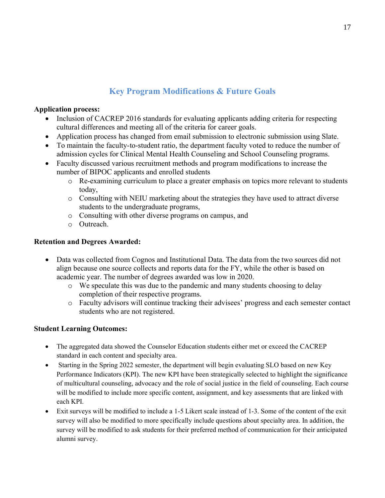# **Key Program Modifications & Future Goals**

#### **Application process:**

- Inclusion of CACREP 2016 standards for evaluating applicants adding criteria for respecting cultural differences and meeting all of the criteria for career goals.
- Application process has changed from email submission to electronic submission using Slate.
- To maintain the faculty-to-student ratio, the department faculty voted to reduce the number of admission cycles for Clinical Mental Health Counseling and School Counseling programs.
- Faculty discussed various recruitment methods and program modifications to increase the number of BIPOC applicants and enrolled students
	- o Re-examining curriculum to place a greater emphasis on topics more relevant to students today,
	- o Consulting with NEIU marketing about the strategies they have used to attract diverse students to the undergraduate programs,
	- o Consulting with other diverse programs on campus, and
	- o Outreach.

## **Retention and Degrees Awarded:**

- Data was collected from Cognos and Institutional Data. The data from the two sources did not align because one source collects and reports data for the FY, while the other is based on academic year. The number of degrees awarded was low in 2020.
	- o We speculate this was due to the pandemic and many students choosing to delay completion of their respective programs.
	- o Faculty advisors will continue tracking their advisees' progress and each semester contact students who are not registered.

# **Student Learning Outcomes:**

- The aggregated data showed the Counselor Education students either met or exceed the CACREP standard in each content and specialty area.
- Starting in the Spring 2022 semester, the department will begin evaluating SLO based on new Key Performance Indicators (KPI). The new KPI have been strategically selected to highlight the significance of multicultural counseling, advocacy and the role of social justice in the field of counseling. Each course will be modified to include more specific content, assignment, and key assessments that are linked with each KPI.
- Exit surveys will be modified to include a 1-5 Likert scale instead of 1-3. Some of the content of the exit survey will also be modified to more specifically include questions about specialty area. In addition, the survey will be modified to ask students for their preferred method of communication for their anticipated alumni survey.